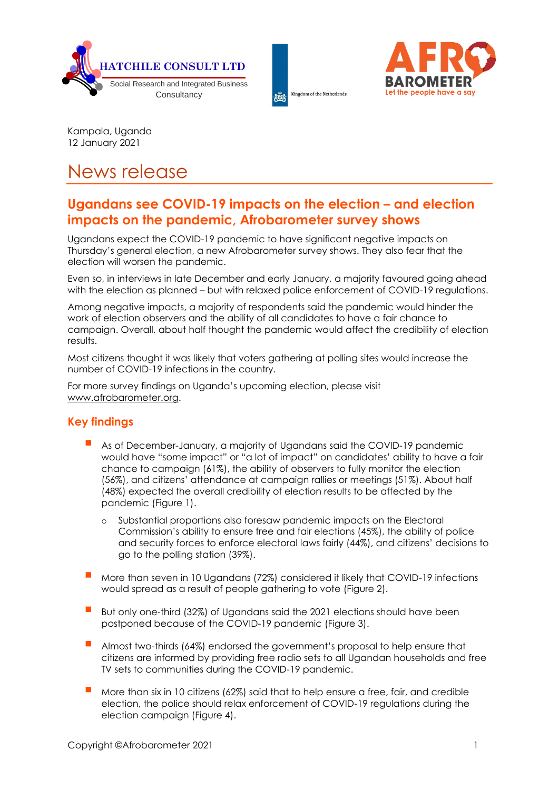





Kampala, Uganda 12 January 2021

# News release

# **Ugandans see COVID-19 impacts on the election – and election impacts on the pandemic, Afrobarometer survey shows**

Ugandans expect the COVID-19 pandemic to have significant negative impacts on Thursday's general election, a new Afrobarometer survey shows. They also fear that the election will worsen the pandemic.

Even so, in interviews in late December and early January, a majority favoured going ahead with the election as planned – but with relaxed police enforcement of COVID-19 regulations.

Among negative impacts, a majority of respondents said the pandemic would hinder the work of election observers and the ability of all candidates to have a fair chance to campaign. Overall, about half thought the pandemic would affect the credibility of election results.

Most citizens thought it was likely that voters gathering at polling sites would increase the number of COVID-19 infections in the country.

For more survey findings on Uganda's upcoming election, please visit [www.afrobarometer.org.](http://www.afrobarometer.org/)

## **Key findings**

- As of December-January, a majority of Ugandans said the COVID-19 pandemic would have "some impact" or "a lot of impact" on candidates' ability to have a fair chance to campaign (61%), the ability of observers to fully monitor the election (56%), and citizens' attendance at campaign rallies or meetings (51%). About half (48%) expected the overall credibility of election results to be affected by the pandemic (Figure 1).
	- o Substantial proportions also foresaw pandemic impacts on the Electoral Commission's ability to ensure free and fair elections (45%), the ability of police and security forces to enforce electoral laws fairly (44%), and citizens' decisions to go to the polling station (39%).
- More than seven in 10 Ugandans (72%) considered it likely that COVID-19 infections would spread as a result of people gathering to vote (Figure 2).
- But only one-third (32%) of Ugandans said the 2021 elections should have been postponed because of the COVID-19 pandemic (Figure 3).
- Almost two-thirds (64%) endorsed the government's proposal to help ensure that citizens are informed by providing free radio sets to all Ugandan households and free TV sets to communities during the COVID-19 pandemic.
- More than six in 10 citizens (62%) said that to help ensure a free, fair, and credible election, the police should relax enforcement of COVID-19 regulations during the election campaign (Figure 4).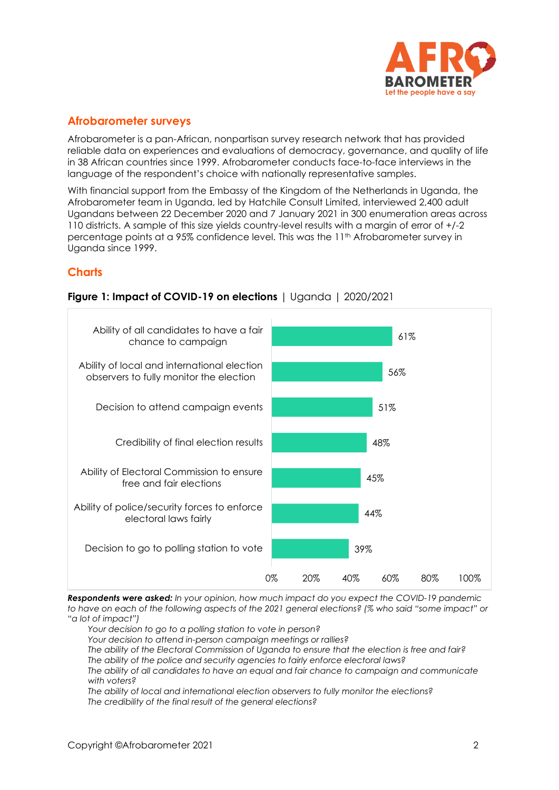

### **Afrobarometer surveys**

Afrobarometer is a pan-African, nonpartisan survey research network that has provided reliable data on experiences and evaluations of democracy, governance, and quality of life in 38 African countries since 1999. Afrobarometer conducts face-to-face interviews in the language of the respondent's choice with nationally representative samples.

With financial support from the Embassy of the Kingdom of the Netherlands in Uganda, the Afrobarometer team in Uganda, led by Hatchile Consult Limited, interviewed 2,400 adult Ugandans between 22 December 2020 and 7 January 2021 in 300 enumeration areas across 110 districts. A sample of this size yields country-level results with a margin of error of +/-2 percentage points at a 95% confidence level. This was the 11th Afrobarometer survey in Uganda since 1999.

### **Charts**



#### **Figure 1: Impact of COVID-19 on elections** | Uganda | 2020/2021

*Respondents were asked: In your opinion, how much impact do you expect the COVID-19 pandemic to have on each of the following aspects of the 2021 general elections? (% who said "some impact" or "a lot of impact")*

*Your decision to go to a polling station to vote in person?*

*Your decision to attend in-person campaign meetings or rallies?*

*The ability of the Electoral Commission of Uganda to ensure that the election is free and fair? The ability of the police and security agencies to fairly enforce electoral laws?*

*The ability of all candidates to have an equal and fair chance to campaign and communicate with voters?*

*The ability of local and international election observers to fully monitor the elections? The credibility of the final result of the general elections?*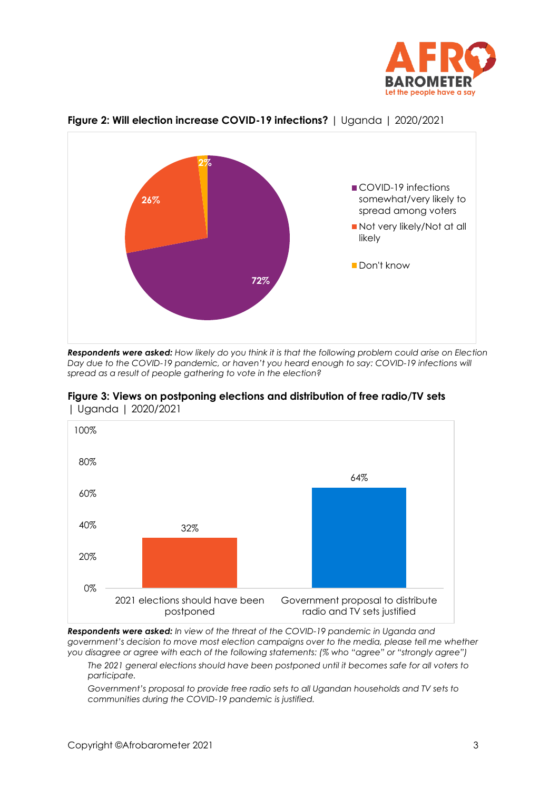



#### **Figure 2: Will election increase COVID-19 infections?** | Uganda | 2020/2021

*Respondents were asked: How likely do you think it is that the following problem could arise on Election Day due to the COVID-19 pandemic, or haven't you heard enough to say: COVID-19 infections will spread as a result of people gathering to vote in the election?*





*Respondents were asked: In view of the threat of the COVID-19 pandemic in Uganda and government's decision to move most election campaigns over to the media, please tell me whether you disagree or agree with each of the following statements: (% who "agree" or "strongly agree")*

*The 2021 general elections should have been postponed until it becomes safe for all voters to participate.*

*Government's proposal to provide free radio sets to all Ugandan households and TV sets to communities during the COVID-19 pandemic is justified.*